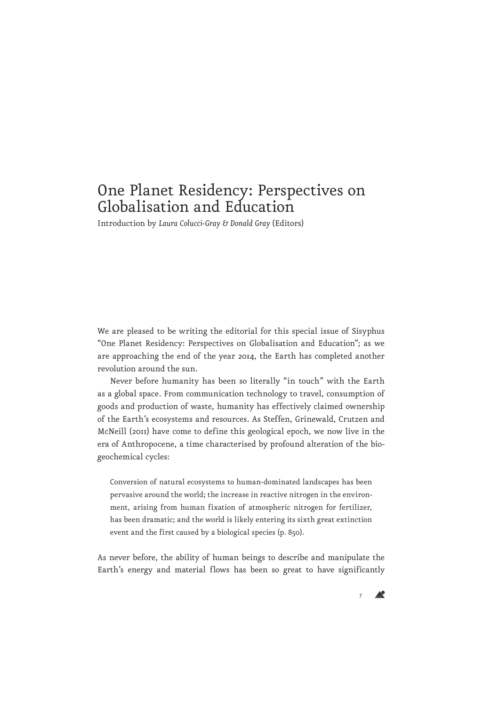## One Planet Residency: Perspectives on Globalisation and Education

Introduction by *Laura Colucci-Gray & Donald Gray* (Editors)

We are pleased to be writing the editorial for this special issue of Sisyphus "One Planet Residency: Perspectives on Globalisation and Education"; as we are approaching the end of the year 2014, the Earth has completed another revolution around the sun.

Never before humanity has been so literally "in touch" with the Earth as a global space. From communication technology to travel, consumption of goods and production of waste, humanity has effectively claimed ownership of the Earth's ecosystems and resources. As Steffen, Grinewald, Crutzen and McNeill (2011) have come to define this geological epoch, we now live in the era of Anthropocene, a time characterised by profound alteration of the biogeochemical cycles:

Conversion of natural ecosystems to human-dominated landscapes has been pervasive around the world; the increase in reactive nitrogen in the environment, arising from human fixation of atmospheric nitrogen for fertilizer, has been dramatic; and the world is likely entering its sixth great extinction event and the first caused by a biological species (p. 850).

As never before, the ability of human beings to describe and manipulate the Earth's energy and material flows has been so great to have significantly

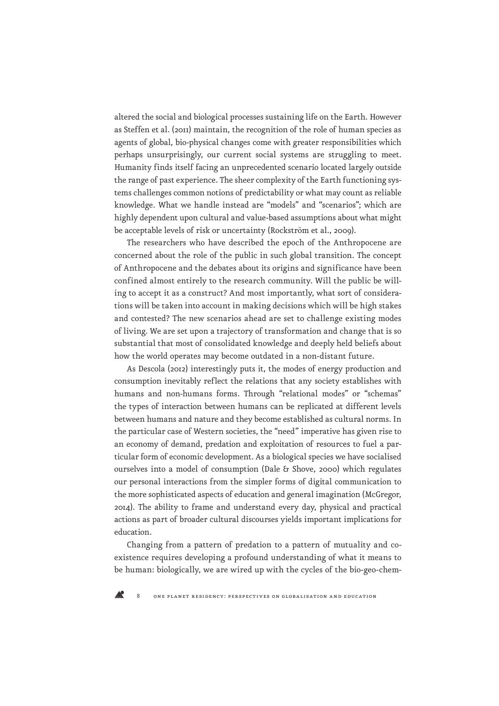altered the social and biological processes sustaining life on the Earth. However as Steffen et al. (2011) maintain, the recognition of the role of human species as agents of global, bio-physical changes come with greater responsibilities which perhaps unsurprisingly, our current social systems are struggling to meet. Humanity finds itself facing an unprecedented scenario located largely outside the range of past experience. The sheer complexity of the Earth functioning systems challenges common notions of predictability or what may count as reliable knowledge. What we handle instead are "models" and "scenarios"; which are highly dependent upon cultural and value-based assumptions about what might be acceptable levels of risk or uncertainty (Rockström et al., 2009).

The researchers who have described the epoch of the Anthropocene are concerned about the role of the public in such global transition. The concept of Anthropocene and the debates about its origins and significance have been confined almost entirely to the research community. Will the public be willing to accept it as a construct? And most importantly, what sort of considerations will be taken into account in making decisions which will be high stakes and contested? The new scenarios ahead are set to challenge existing modes of living. We are set upon a trajectory of transformation and change that is so substantial that most of consolidated knowledge and deeply held beliefs about how the world operates may become outdated in a non-distant future.

As Descola (2012) interestingly puts it, the modes of energy production and consumption inevitably reflect the relations that any society establishes with humans and non-humans forms. Through "relational modes" or "schemas" the types of interaction between humans can be replicated at different levels between humans and nature and they become established as cultural norms. In the particular case of Western societies, the "need" imperative has given rise to an economy of demand, predation and exploitation of resources to fuel a particular form of economic development. As a biological species we have socialised ourselves into a model of consumption (Dale & Shove, 2000) which regulates our personal interactions from the simpler forms of digital communication to the more sophisticated aspects of education and general imagination (McGregor, 2014). The ability to frame and understand every day, physical and practical actions as part of broader cultural discourses yields important implications for education.

Changing from a pattern of predation to a pattern of mutuality and coexistence requires developing a profound understanding of what it means to be human: biologically, we are wired up with the cycles of the bio-geo-chem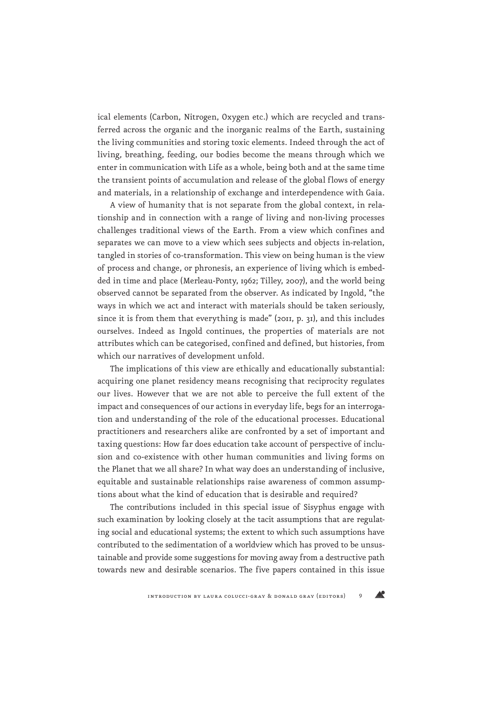ical elements (Carbon, Nitrogen, Oxygen etc.) which are recycled and transferred across the organic and the inorganic realms of the Earth, sustaining the living communities and storing toxic elements. Indeed through the act of living, breathing, feeding, our bodies become the means through which we enter in communication with Life as a whole, being both and at the same time the transient points of accumulation and release of the global flows of energy and materials, in a relationship of exchange and interdependence with Gaia.

A view of humanity that is not separate from the global context, in relationship and in connection with a range of living and non-living processes challenges traditional views of the Earth. From a view which confines and separates we can move to a view which sees subjects and objects in-relation, tangled in stories of co-transformation. This view on being human is the view of process and change, or phronesis, an experience of living which is embedded in time and place (Merleau-Ponty, 1962; Tilley, 2007), and the world being observed cannot be separated from the observer. As indicated by Ingold, "the ways in which we act and interact with materials should be taken seriously, since it is from them that everything is made" (2011, p. 31), and this includes ourselves. Indeed as Ingold continues, the properties of materials are not attributes which can be categorised, confined and defined, but histories, from which our narratives of development unfold.

The implications of this view are ethically and educationally substantial: acquiring one planet residency means recognising that reciprocity regulates our lives. However that we are not able to perceive the full extent of the impact and consequences of our actions in everyday life, begs for an interrogation and understanding of the role of the educational processes. Educational practitioners and researchers alike are confronted by a set of important and taxing questions: How far does education take account of perspective of inclusion and co-existence with other human communities and living forms on the Planet that we all share? In what way does an understanding of inclusive, equitable and sustainable relationships raise awareness of common assumptions about what the kind of education that is desirable and required?

The contributions included in this special issue of Sisyphus engage with such examination by looking closely at the tacit assumptions that are regulating social and educational systems; the extent to which such assumptions have contributed to the sedimentation of a worldview which has proved to be unsustainable and provide some suggestions for moving away from a destructive path towards new and desirable scenarios. The five papers contained in this issue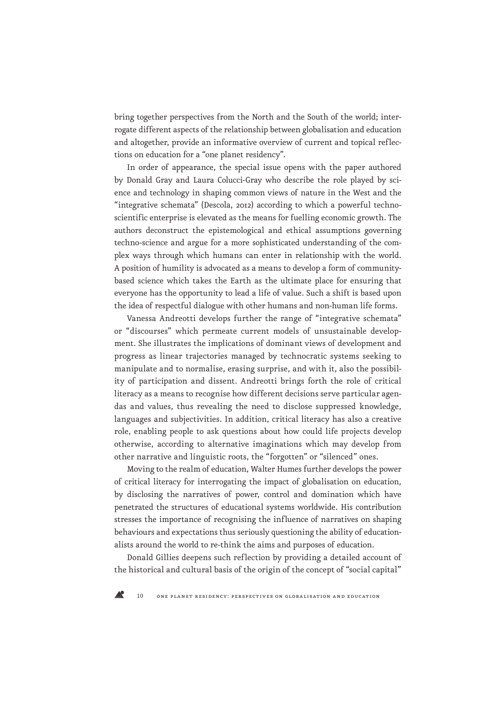bring together perspectives from the North and the South of the world; interrogate different aspects of the relationship between globalisation and education and altogether, provide an informative overview of current and topical reflections on education for a "one planet residency".

In order of appearance, the special issue opens with the paper authored by Donald Gray and Laura Colucci-Gray who describe the role played by science and technology in shaping common views of nature in the West and the "integrative schemata" (Descola, 2012) according to which a powerful technoscientific enterprise is elevated as the means for fuelling economic growth. The authors deconstruct the epistemological and ethical assumptions governing techno-science and argue for a more sophisticated understanding of the complex ways through which humans can enter in relationship with the world. A position of humility is advocated as a means to develop a form of communitybased science which takes the Earth as the ultimate place for ensuring that everyone has the opportunity to lead a life of value. Such a shift is based upon the idea of respectful dialogue with other humans and non-human life forms.

Vanessa Andreotti develops further the range of "integrative schemata" or "discourses" which permeate current models of unsustainable development. She illustrates the implications of dominant views of development and progress as linear trajectories managed by technocratic systems seeking to manipulate and to normalise, erasing surprise, and with it, also the possibility of participation and dissent. Andreotti brings forth the role of critical literacy as a means to recognise how different decisions serve particular agendas and values, thus revealing the need to disclose suppressed knowledge, languages and subjectivities. In addition, critical literacy has also a creative role, enabling people to ask questions about how could life projects develop otherwise, according to alternative imaginations which may develop from other narrative and linguistic roots, the "forgotten" or "silenced" ones.

Moving to the realm of education, Walter Humes further develops the power of critical literacy for interrogating the impact of globalisation on education, by disclosing the narratives of power, control and domination which have penetrated the structures of educational systems worldwide. His contribution stresses the importance of recognising the influence of narratives on shaping behaviours and expectations thus seriously questioning the ability of educationalists around the world to re-think the aims and purposes of education.

Donald Gillies deepens such reflection by providing a detailed account of the historical and cultural basis of the origin of the concept of "social capital"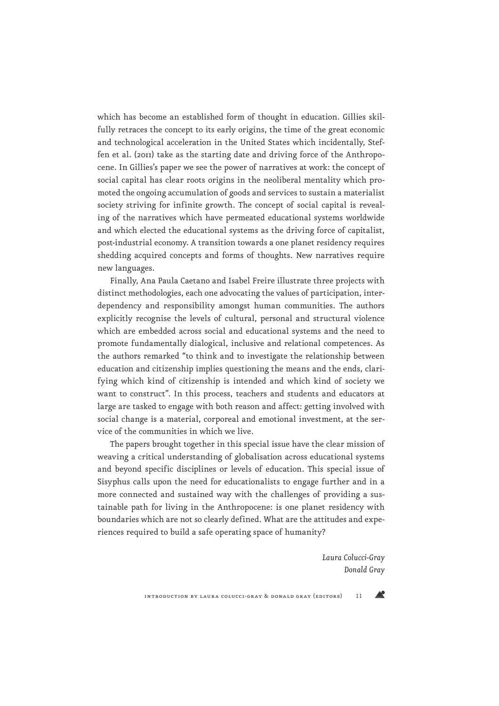which has become an established form of thought in education. Gillies skilfully retraces the concept to its early origins, the time of the great economic and technological acceleration in the United States which incidentally, Steffen et al. (2011) take as the starting date and driving force of the Anthropocene. In Gillies's paper we see the power of narratives at work: the concept of social capital has clear roots origins in the neoliberal mentality which promoted the ongoing accumulation of goods and services to sustain a materialist society striving for infinite growth. The concept of social capital is revealing of the narratives which have permeated educational systems worldwide and which elected the educational systems as the driving force of capitalist, post-industrial economy. A transition towards a one planet residency requires shedding acquired concepts and forms of thoughts. New narratives require new languages.

Finally, Ana Paula Caetano and Isabel Freire illustrate three projects with distinct methodologies, each one advocating the values of participation, interdependency and responsibility amongst human communities. The authors explicitly recognise the levels of cultural, personal and structural violence which are embedded across social and educational systems and the need to promote fundamentally dialogical, inclusive and relational competences. As the authors remarked "to think and to investigate the relationship between education and citizenship implies questioning the means and the ends, clarifying which kind of citizenship is intended and which kind of society we want to construct". In this process, teachers and students and educators at large are tasked to engage with both reason and affect: getting involved with social change is a material, corporeal and emotional investment, at the service of the communities in which we live.

The papers brought together in this special issue have the clear mission of weaving a critical understanding of globalisation across educational systems and beyond specific disciplines or levels of education. This special issue of Sisyphus calls upon the need for educationalists to engage further and in a more connected and sustained way with the challenges of providing a sustainable path for living in the Anthropocene: is one planet residency with boundaries which are not so clearly defined. What are the attitudes and experiences required to build a safe operating space of humanity?

> *Laura Colucci-Gray Donald Gray*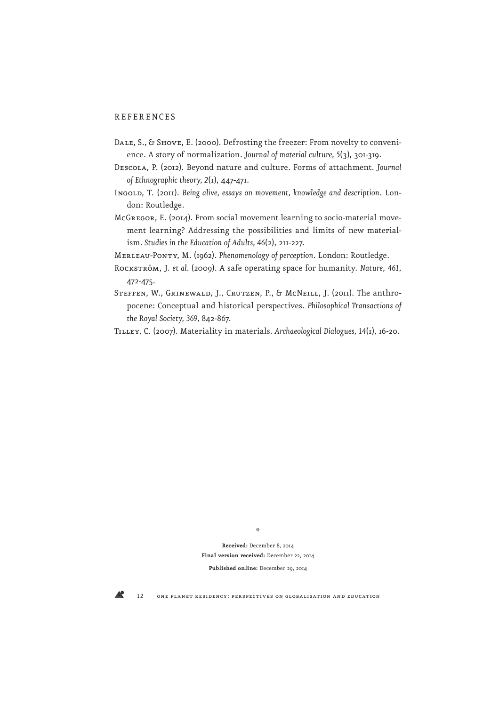## REFERENCES

- DALE, S., & SHOVE, E. (2000). Defrosting the freezer: From novelty to convenience. A story of normalization. *Journal of material culture, 5*(3), 301-319.
- Descola, P. (2012). Beyond nature and culture. Forms of attachment. *Journal of Ethnographic theory, 2*(1), 447-471.
- INGOLD, T. (2011). Being alive, essays on movement, knowledge and description. London: Routledge.
- McGregor, E. (2014). From social movement learning to socio-material movement learning? Addressing the possibilities and limits of new materialism*. Studies in the Education of Adults, 46*(2), 211-227.
- Merleau-Ponty, M. (1962). *Phenomenology of perception*. London: Routledge.
- Rockström, J. *et al.* (2009). A safe operating space for humanity. *Nature*, *461*, 472-475.
- STEFFEN, W., GRINEWALD, J., CRUTZEN, P., & MCNEILL, J. (2011). The anthropocene: Conceptual and historical perspectives. *Philosophical Transactions of the Royal Society, 369*, 842-867.

Tilley, C. (2007). Materiality in materials. *Archaeological Dialogues, 14*(1), 16-20.

\*

**Received:** December 8, 2014 **Final version received:** December 22, 2014 **Published online:** December 29, 2014

12 one planet residency: perspectives on globalisation and education